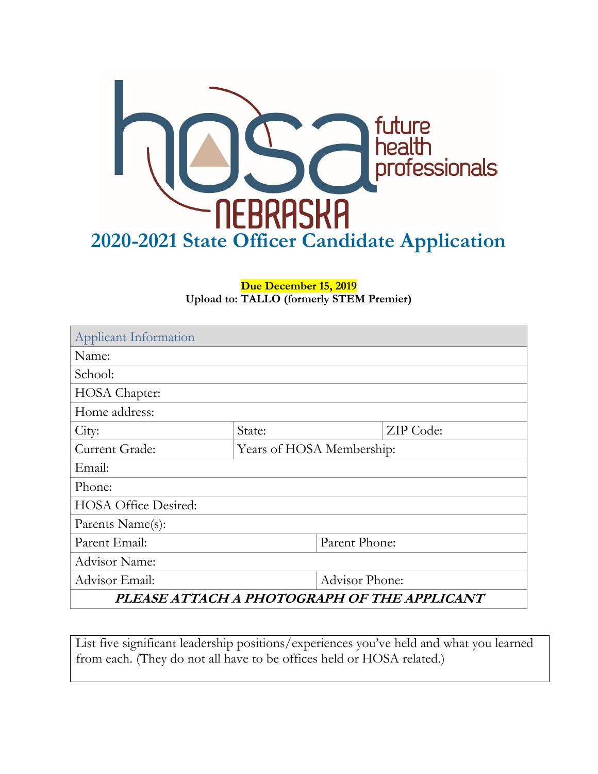

#### **Due December 15, 2019 Upload to: TALLO (formerly STEM Premier)**

| Applicant Information                       |                           |                |           |  |
|---------------------------------------------|---------------------------|----------------|-----------|--|
| Name:                                       |                           |                |           |  |
| School:                                     |                           |                |           |  |
| HOSA Chapter:                               |                           |                |           |  |
| Home address:                               |                           |                |           |  |
| City:                                       | State:                    |                | ZIP Code: |  |
| Current Grade:                              | Years of HOSA Membership: |                |           |  |
| Email:                                      |                           |                |           |  |
| Phone:                                      |                           |                |           |  |
| <b>HOSA Office Desired:</b>                 |                           |                |           |  |
| Parents Name(s):                            |                           |                |           |  |
| Parent Email:                               |                           | Parent Phone:  |           |  |
| <b>Advisor Name:</b>                        |                           |                |           |  |
| Advisor Email:                              |                           | Advisor Phone: |           |  |
| PLEASE ATTACH A PHOTOGRAPH OF THE APPLICANT |                           |                |           |  |

List five significant leadership positions/experiences you've held and what you learned from each. (They do not all have to be offices held or HOSA related.)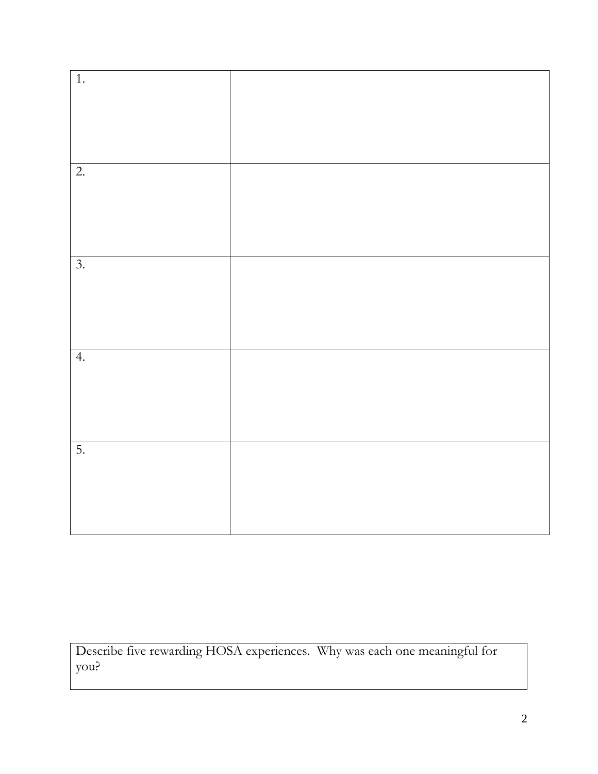| $\overline{1}$ . |  |
|------------------|--|
|                  |  |
|                  |  |
|                  |  |
|                  |  |
|                  |  |
|                  |  |
|                  |  |
|                  |  |
|                  |  |
|                  |  |
| $\overline{2}$ . |  |
|                  |  |
|                  |  |
|                  |  |
|                  |  |
|                  |  |
|                  |  |
|                  |  |
|                  |  |
|                  |  |
|                  |  |
| $\overline{3}$ . |  |
|                  |  |
|                  |  |
|                  |  |
|                  |  |
|                  |  |
|                  |  |
|                  |  |
|                  |  |
|                  |  |
|                  |  |
| 4.               |  |
|                  |  |
|                  |  |
|                  |  |
|                  |  |
|                  |  |
|                  |  |
|                  |  |
|                  |  |
|                  |  |
| 5.               |  |
|                  |  |
|                  |  |
|                  |  |
|                  |  |
|                  |  |
|                  |  |
|                  |  |
|                  |  |
|                  |  |
|                  |  |

Describe five rewarding HOSA experiences. Why was each one meaningful for you?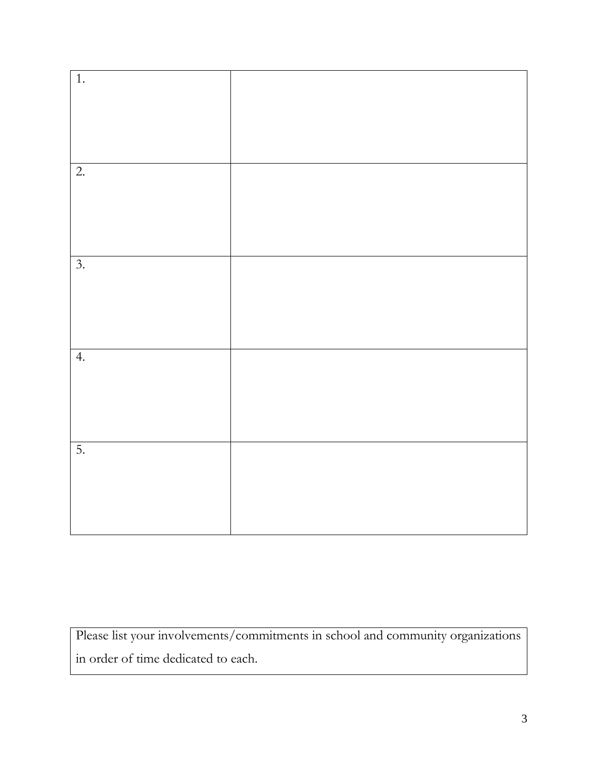| $\overline{1}$ . |  |
|------------------|--|
|                  |  |
|                  |  |
|                  |  |
|                  |  |
|                  |  |
|                  |  |
|                  |  |
|                  |  |
|                  |  |
|                  |  |
|                  |  |
|                  |  |
|                  |  |
|                  |  |
| $\overline{2}$ . |  |
|                  |  |
|                  |  |
|                  |  |
|                  |  |
|                  |  |
|                  |  |
|                  |  |
|                  |  |
|                  |  |
|                  |  |
|                  |  |
|                  |  |
|                  |  |
| $\overline{3}$ . |  |
|                  |  |
|                  |  |
|                  |  |
|                  |  |
|                  |  |
|                  |  |
|                  |  |
|                  |  |
|                  |  |
|                  |  |
|                  |  |
|                  |  |
|                  |  |
|                  |  |
| 4.               |  |
|                  |  |
|                  |  |
|                  |  |
|                  |  |
|                  |  |
|                  |  |
|                  |  |
|                  |  |
|                  |  |
|                  |  |
|                  |  |
|                  |  |
|                  |  |
| 5.               |  |
|                  |  |
|                  |  |
|                  |  |
|                  |  |
|                  |  |
|                  |  |
|                  |  |
|                  |  |
|                  |  |
|                  |  |
|                  |  |
|                  |  |
|                  |  |

Please list your involvements/commitments in school and community organizations in order of time dedicated to each.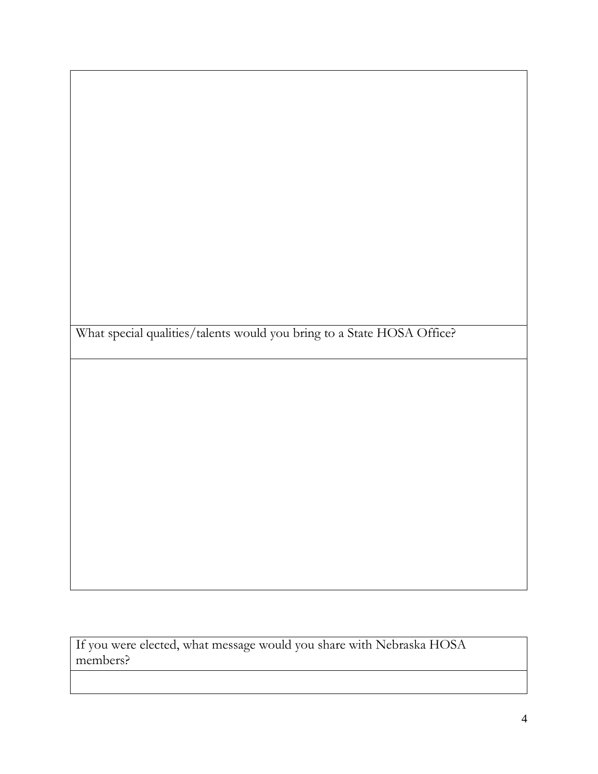What special qualities/talents would you bring to a State HOSA Office?

If you were elected, what message would you share with Nebraska HOSA members?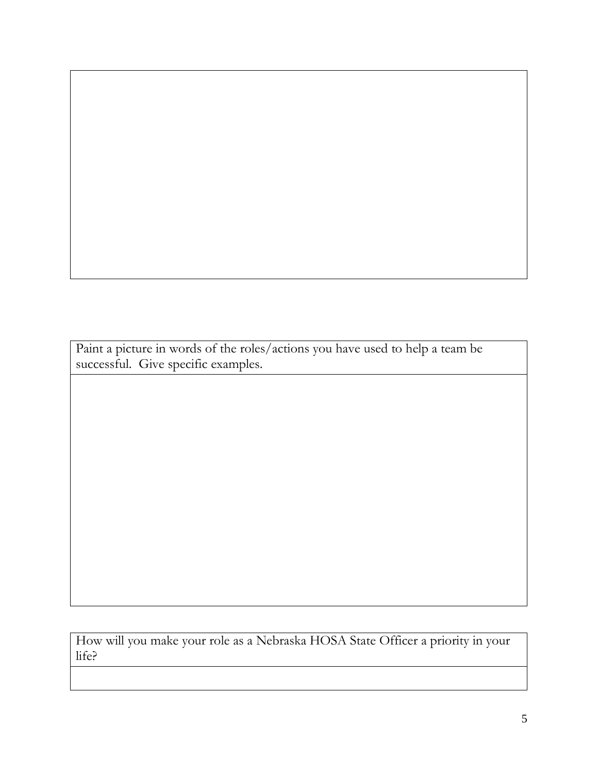Paint a picture in words of the roles/actions you have used to help a team be successful. Give specific examples.

How will you make your role as a Nebraska HOSA State Officer a priority in your life?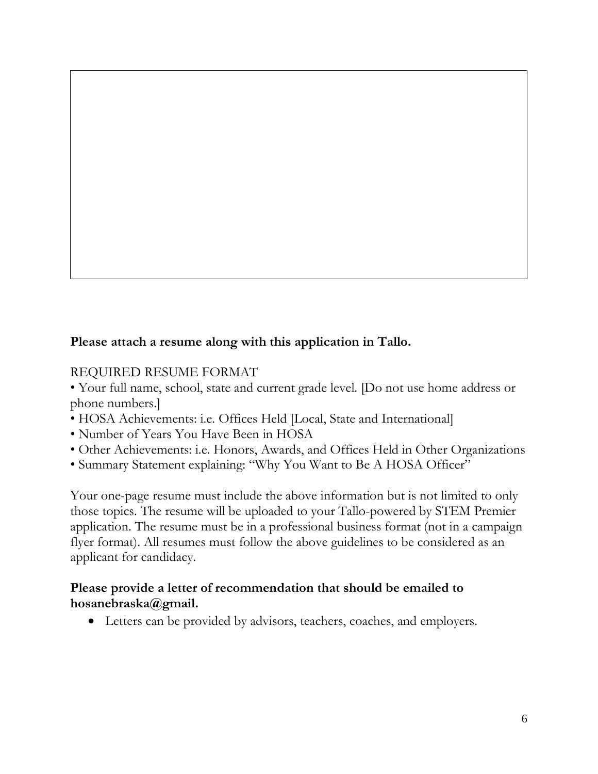### **Please attach a resume along with this application in Tallo.**

#### REQUIRED RESUME FORMAT

• Your full name, school, state and current grade level. [Do not use home address or phone numbers.]

- HOSA Achievements: i.e. Offices Held [Local, State and International]
- Number of Years You Have Been in HOSA
- Other Achievements: i.e. Honors, Awards, and Offices Held in Other Organizations
- Summary Statement explaining: "Why You Want to Be A HOSA Officer"

Your one-page resume must include the above information but is not limited to only those topics. The resume will be uploaded to your Tallo-powered by STEM Premier application. The resume must be in a professional business format (not in a campaign flyer format). All resumes must follow the above guidelines to be considered as an applicant for candidacy.

### **Please provide a letter of recommendation that should be emailed to hosanebraska@gmail.**

Letters can be provided by advisors, teachers, coaches, and employers.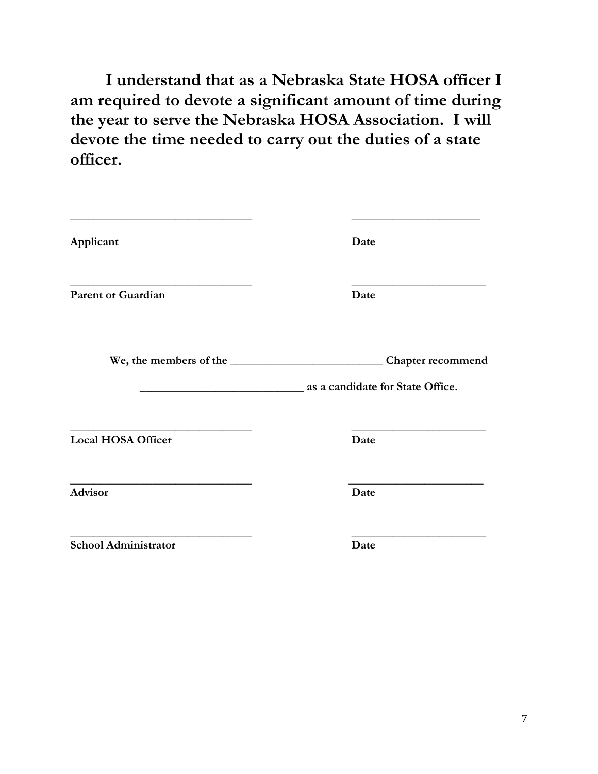**I understand that as a Nebraska State HOSA officer I am required to devote a significant amount of time during the year to serve the Nebraska HOSA Association. I will devote the time needed to carry out the duties of a state officer.**

| Applicant                 | Date                                                         |
|---------------------------|--------------------------------------------------------------|
| <b>Parent or Guardian</b> | Date                                                         |
| We, the members of the    | <b>Chapter recommend</b><br>as a candidate for State Office. |
| <b>Local HOSA Officer</b> | Date                                                         |
| Advisor                   | Date                                                         |
| School Administrator      | Date                                                         |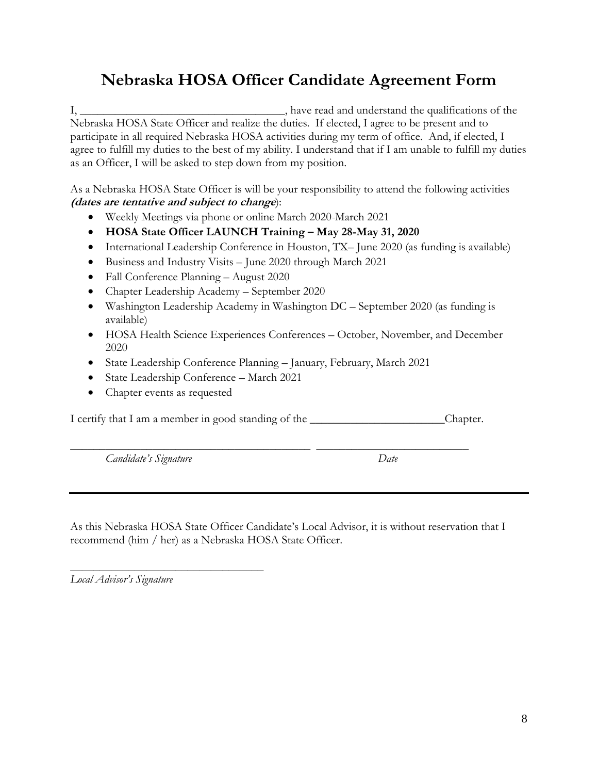# **Nebraska HOSA Officer Candidate Agreement Form**

I, have read and understand the qualifications of the Nebraska HOSA State Officer and realize the duties. If elected, I agree to be present and to participate in all required Nebraska HOSA activities during my term of office. And, if elected, I agree to fulfill my duties to the best of my ability. I understand that if I am unable to fulfill my duties as an Officer, I will be asked to step down from my position.

As a Nebraska HOSA State Officer is will be your responsibility to attend the following activities **(dates are tentative and subject to change**):

- Weekly Meetings via phone or online March 2020-March 2021
- **HOSA State Officer LAUNCH Training – May 28-May 31, 2020**
- International Leadership Conference in Houston, TX– June 2020 (as funding is available)
- Business and Industry Visits June 2020 through March 2021
- Fall Conference Planning August 2020
- Chapter Leadership Academy September 2020
- Washington Leadership Academy in Washington DC September 2020 (as funding is available)
- HOSA Health Science Experiences Conferences October, November, and December 2020
- State Leadership Conference Planning January, February, March 2021
- State Leadership Conference March 2021
- Chapter events as requested

I certify that I am a member in good standing of the \_\_\_\_\_\_\_\_\_\_\_\_\_\_\_\_\_\_\_\_\_\_\_Chapter.

*Candidate's Signature Date*

\_\_\_\_\_\_\_\_\_\_\_\_\_\_\_\_\_\_\_\_\_\_\_\_\_\_\_\_\_\_\_\_\_\_\_\_\_\_\_\_\_ \_\_\_\_\_\_\_\_\_\_\_\_\_\_\_\_\_\_\_\_\_\_\_\_\_\_

As this Nebraska HOSA State Officer Candidate's Local Advisor, it is without reservation that I recommend (him / her) as a Nebraska HOSA State Officer.

\_\_\_\_\_\_\_\_\_\_\_\_\_\_\_\_\_\_\_\_\_\_\_\_\_\_\_\_\_\_\_\_\_ *Local Advisor's Signature*